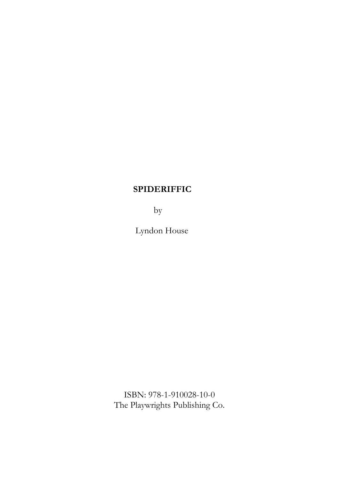by

Lyndon House

ISBN: 978-1-910028-10-0 The Playwrights Publishing Co.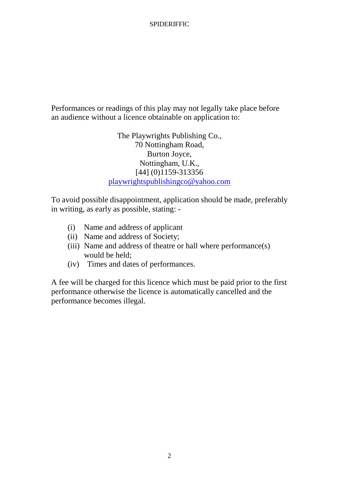Performances or readings of this play may not legally take place before an audience without a licence obtainable on application to:

> The Playwrights Publishing Co., 70 Nottingham Road, Burton Joyce, Nottingham, U.K., [44] (0)1159-313356 playwrightspublishingco@yahoo.com

To avoid possible disappointment, application should be made, preferably in writing, as early as possible, stating: -

- (i) Name and address of applicant
- (ii) Name and address of Society;
- (iii) Name and address of theatre or hall where performance(s) would be held;
- (iv) Times and dates of performances.

A fee will be charged for this licence which must be paid prior to the first performance otherwise the licence is automatically cancelled and the performance becomes illegal.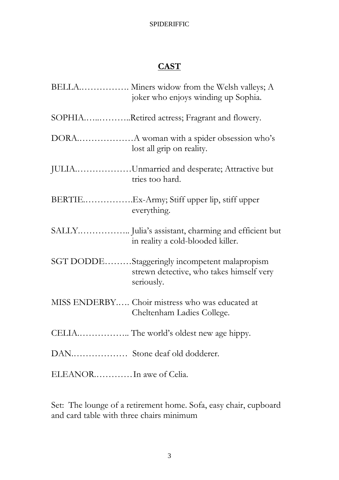# **CAST**

|                          | BELLA Miners widow from the Welsh valleys; A<br>joker who enjoys winding up Sophia.                     |
|--------------------------|---------------------------------------------------------------------------------------------------------|
|                          | SOPHIARetired actress; Fragrant and flowery.                                                            |
|                          | lost all grip on reality.                                                                               |
|                          | JULIAUnmarried and desperate; Attractive but<br>tries too hard.                                         |
|                          | BERTIEEx-Army; Stiff upper lip, stiff upper<br>everything.                                              |
|                          | in reality a cold-blooded killer.                                                                       |
|                          | SGT DODDEStaggeringly incompetent malapropism<br>strewn detective, who takes himself very<br>seriously. |
|                          | MISS ENDERBY Choir mistress who was educated at<br>Cheltenham Ladies College.                           |
|                          |                                                                                                         |
|                          | DAN Stone deaf old dodderer.                                                                            |
| ELEANOR In awe of Celia. |                                                                                                         |

Set: The lounge of a retirement home. Sofa, easy chair, cupboard and card table with three chairs minimum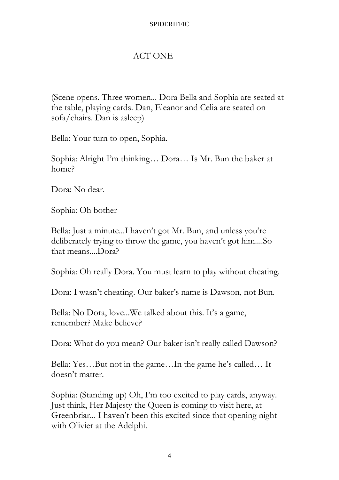### ACT ONE

(Scene opens. Three women... Dora Bella and Sophia are seated at the table, playing cards. Dan, Eleanor and Celia are seated on sofa/chairs. Dan is asleep)

Bella: Your turn to open, Sophia.

Sophia: Alright I'm thinking… Dora… Is Mr. Bun the baker at home?

Dora: No dear.

Sophia: Oh bother

Bella: Just a minute...I haven't got Mr. Bun, and unless you're deliberately trying to throw the game, you haven't got him....So that means....Dora?

Sophia: Oh really Dora. You must learn to play without cheating.

Dora: I wasn't cheating. Our baker's name is Dawson, not Bun.

Bella: No Dora, love...We talked about this. It's a game, remember? Make believe?

Dora: What do you mean? Our baker isn't really called Dawson?

Bella: Yes…But not in the game…In the game he's called… It doesn't matter.

Sophia: (Standing up) Oh, I'm too excited to play cards, anyway. Just think, Her Majesty the Queen is coming to visit here, at Greenbriar... I haven't been this excited since that opening night with Olivier at the Adelphi.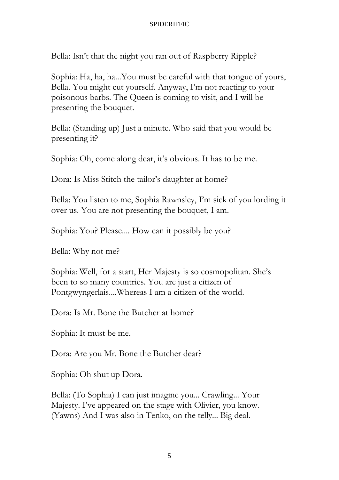Bella: Isn't that the night you ran out of Raspberry Ripple?

Sophia: Ha, ha, ha...You must be careful with that tongue of yours, Bella. You might cut yourself. Anyway, I'm not reacting to your poisonous barbs. The Queen is coming to visit, and I will be presenting the bouquet.

Bella: (Standing up) Just a minute. Who said that you would be presenting it?

Sophia: Oh, come along dear, it's obvious. It has to be me.

Dora: Is Miss Stitch the tailor's daughter at home?

Bella: You listen to me, Sophia Rawnsley, I'm sick of you lording it over us. You are not presenting the bouquet, I am.

Sophia: You? Please.... How can it possibly be you?

Bella: Why not me?

Sophia: Well, for a start, Her Majesty is so cosmopolitan. She's been to so many countries. You are just a citizen of Pontgwyngerlais....Whereas I am a citizen of the world.

Dora: Is Mr. Bone the Butcher at home?

Sophia: It must be me.

Dora: Are you Mr. Bone the Butcher dear?

Sophia: Oh shut up Dora.

Bella: (To Sophia) I can just imagine you... Crawling... Your Majesty. I've appeared on the stage with Olivier, you know. (Yawns) And I was also in Tenko, on the telly... Big deal.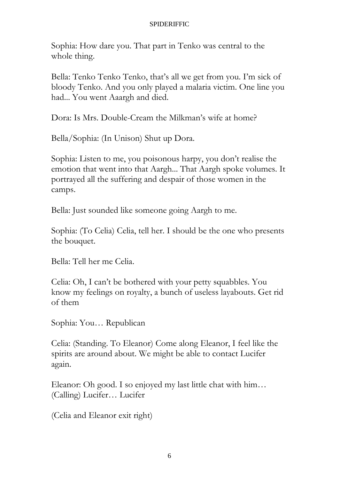Sophia: How dare you. That part in Tenko was central to the whole thing.

Bella: Tenko Tenko Tenko, that's all we get from you. I'm sick of bloody Tenko. And you only played a malaria victim. One line you had... You went Aaargh and died.

Dora: Is Mrs. Double-Cream the Milkman's wife at home?

Bella/Sophia: (In Unison) Shut up Dora.

Sophia: Listen to me, you poisonous harpy, you don't realise the emotion that went into that Aargh... That Aargh spoke volumes. It portrayed all the suffering and despair of those women in the camps.

Bella: Just sounded like someone going Aargh to me.

Sophia: (To Celia) Celia, tell her. I should be the one who presents the bouquet.

Bella: Tell her me Celia.

Celia: Oh, I can't be bothered with your petty squabbles. You know my feelings on royalty, a bunch of useless layabouts. Get rid of them

Sophia: You… Republican

Celia: (Standing. To Eleanor) Come along Eleanor, I feel like the spirits are around about. We might be able to contact Lucifer again.

Eleanor: Oh good. I so enjoyed my last little chat with him… (Calling) Lucifer… Lucifer

(Celia and Eleanor exit right)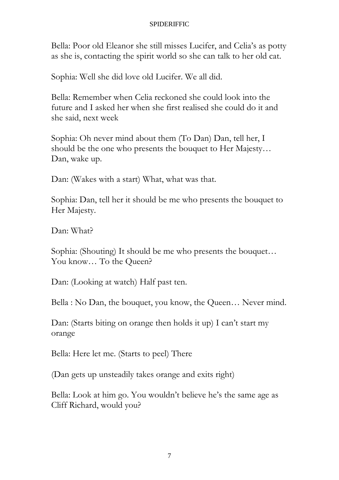Bella: Poor old Eleanor she still misses Lucifer, and Celia's as potty as she is, contacting the spirit world so she can talk to her old cat.

Sophia: Well she did love old Lucifer. We all did.

Bella: Remember when Celia reckoned she could look into the future and I asked her when she first realised she could do it and she said, next week

Sophia: Oh never mind about them (To Dan) Dan, tell her, I should be the one who presents the bouquet to Her Majesty… Dan, wake up.

Dan: (Wakes with a start) What, what was that.

Sophia: Dan, tell her it should be me who presents the bouquet to Her Majesty.

Dan: What?

Sophia: (Shouting) It should be me who presents the bouquet… You know... To the Queen?

Dan: (Looking at watch) Half past ten.

Bella : No Dan, the bouquet, you know, the Queen… Never mind.

Dan: (Starts biting on orange then holds it up) I can't start my orange

Bella: Here let me. (Starts to peel) There

(Dan gets up unsteadily takes orange and exits right)

Bella: Look at him go. You wouldn't believe he's the same age as Cliff Richard, would you?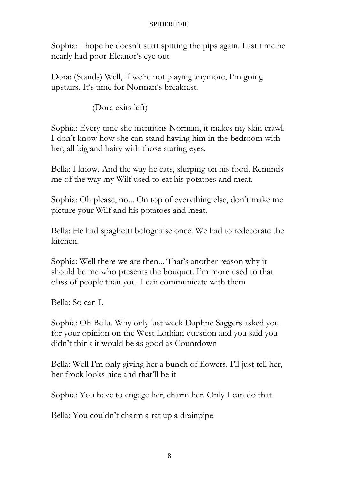Sophia: I hope he doesn't start spitting the pips again. Last time he nearly had poor Eleanor's eye out

Dora: (Stands) Well, if we're not playing anymore, I'm going upstairs. It's time for Norman's breakfast.

(Dora exits left)

Sophia: Every time she mentions Norman, it makes my skin crawl. I don't know how she can stand having him in the bedroom with her, all big and hairy with those staring eyes.

Bella: I know. And the way he eats, slurping on his food. Reminds me of the way my Wilf used to eat his potatoes and meat.

Sophia: Oh please, no... On top of everything else, don't make me picture your Wilf and his potatoes and meat.

Bella: He had spaghetti bolognaise once. We had to redecorate the kitchen.

Sophia: Well there we are then... That's another reason why it should be me who presents the bouquet. I'm more used to that class of people than you. I can communicate with them

Bella: So can I.

Sophia: Oh Bella. Why only last week Daphne Saggers asked you for your opinion on the West Lothian question and you said you didn't think it would be as good as Countdown

Bella: Well I'm only giving her a bunch of flowers. I'll just tell her, her frock looks nice and that'll be it

Sophia: You have to engage her, charm her. Only I can do that

Bella: You couldn't charm a rat up a drainpipe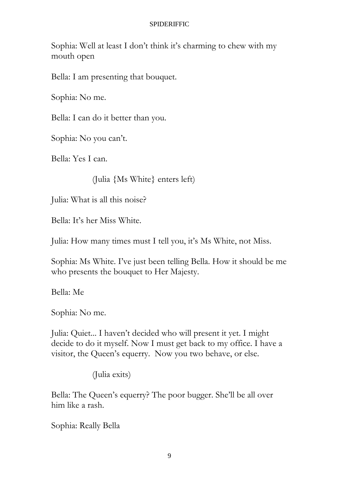Sophia: Well at least I don't think it's charming to chew with my mouth open

Bella: I am presenting that bouquet.

Sophia: No me.

Bella: I can do it better than you.

Sophia: No you can't.

Bella: Yes I can.

(Julia {Ms White} enters left)

Julia: What is all this noise?

Bella: It's her Miss White.

Julia: How many times must I tell you, it's Ms White, not Miss.

Sophia: Ms White. I've just been telling Bella. How it should be me who presents the bouquet to Her Majesty.

Bella: Me

Sophia: No me.

Julia: Quiet... I haven't decided who will present it yet. I might decide to do it myself. Now I must get back to my office. I have a visitor, the Queen's equerry. Now you two behave, or else.

(Julia exits)

Bella: The Queen's equerry? The poor bugger. She'll be all over him like a rash.

Sophia: Really Bella